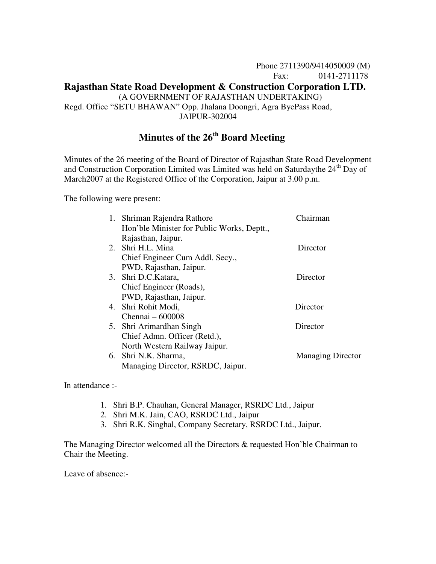# Phone 2711390/9414050009 (M) Fax: 0141-2711178 **Rajasthan State Road Development & Construction Corporation LTD.** (A GOVERNMENT OF RAJASTHAN UNDERTAKING) Regd. Office "SETU BHAWAN" Opp. Jhalana Doongri, Agra ByePass Road, JAIPUR-302004

# **Minutes of the 26th Board Meeting**

Minutes of the 26 meeting of the Board of Director of Rajasthan State Road Development and Construction Corporation Limited was Limited was held on Saturdaythe  $24<sup>th</sup>$  Day of March2007 at the Registered Office of the Corporation, Jaipur at 3.00 p.m.

The following were present:

| 1. Shriman Rajendra Rathore                | Chairman                 |
|--------------------------------------------|--------------------------|
| Hon'ble Minister for Public Works, Deptt., |                          |
| Rajasthan, Jaipur.                         |                          |
| 2. Shri H.L. Mina                          | Director                 |
| Chief Engineer Cum Addl. Secy.,            |                          |
| PWD, Rajasthan, Jaipur.                    |                          |
| 3. Shri D.C.Katara,                        | Director                 |
| Chief Engineer (Roads),                    |                          |
| PWD, Rajasthan, Jaipur.                    |                          |
| 4. Shri Rohit Modi,                        | Director                 |
| Chennai $-600008$                          |                          |
| 5. Shri Arimardhan Singh                   | Director                 |
| Chief Admn. Officer (Retd.),               |                          |
| North Western Railway Jaipur.              |                          |
| 6. Shri N.K. Sharma,                       | <b>Managing Director</b> |
| Managing Director, RSRDC, Jaipur.          |                          |

In attendance :-

- 1. Shri B.P. Chauhan, General Manager, RSRDC Ltd., Jaipur
- 2. Shri M.K. Jain, CAO, RSRDC Ltd., Jaipur
- 3. Shri R.K. Singhal, Company Secretary, RSRDC Ltd., Jaipur.

The Managing Director welcomed all the Directors & requested Hon'ble Chairman to Chair the Meeting.

Leave of absence:-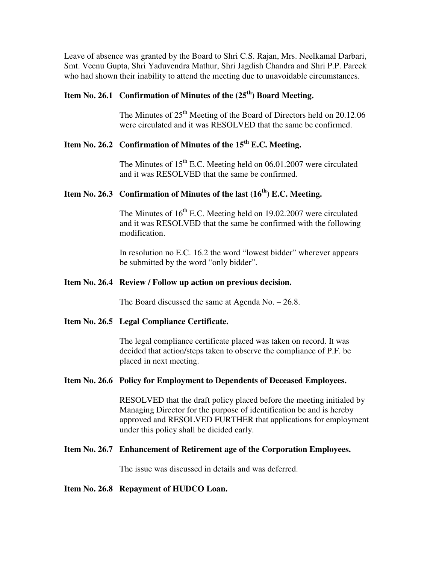Leave of absence was granted by the Board to Shri C.S. Rajan, Mrs. Neelkamal Darbari, Smt. Veenu Gupta, Shri Yaduvendra Mathur, Shri Jagdish Chandra and Shri P.P. Pareek who had shown their inability to attend the meeting due to unavoidable circumstances.

# **Item No. 26.1 Confirmation of Minutes of the (25th) Board Meeting.**

The Minutes of  $25<sup>th</sup>$  Meeting of the Board of Directors held on 20.12.06 were circulated and it was RESOLVED that the same be confirmed.

### **Item No. 26.2 Confirmation of Minutes of the 15th E.C. Meeting.**

The Minutes of 15<sup>th</sup> E.C. Meeting held on 06.01.2007 were circulated and it was RESOLVED that the same be confirmed.

# **Item No. 26.3 Confirmation of Minutes of the last (16th) E.C. Meeting.**

The Minutes of  $16<sup>th</sup>$  E.C. Meeting held on 19.02.2007 were circulated and it was RESOLVED that the same be confirmed with the following modification.

 In resolution no E.C. 16.2 the word "lowest bidder" wherever appears be submitted by the word "only bidder".

#### **Item No. 26.4 Review / Follow up action on previous decision.**

The Board discussed the same at Agenda No. – 26.8.

#### **Item No. 26.5 Legal Compliance Certificate.**

The legal compliance certificate placed was taken on record. It was decided that action/steps taken to observe the compliance of P.F. be placed in next meeting.

#### **Item No. 26.6 Policy for Employment to Dependents of Deceased Employees.**

RESOLVED that the draft policy placed before the meeting initialed by Managing Director for the purpose of identification be and is hereby approved and RESOLVED FURTHER that applications for employment under this policy shall be dicided early.

#### **Item No. 26.7 Enhancement of Retirement age of the Corporation Employees.**

The issue was discussed in details and was deferred.

#### **Item No. 26.8 Repayment of HUDCO Loan.**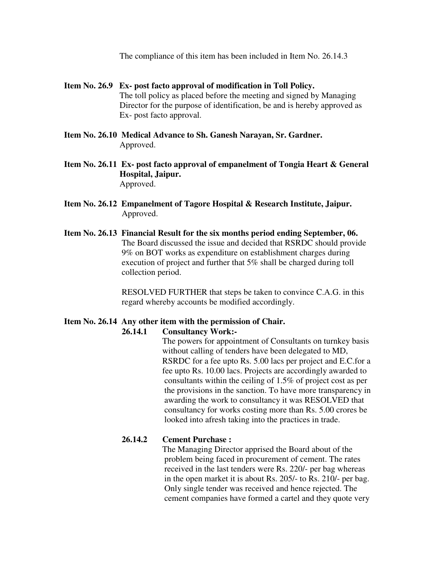The compliance of this item has been included in Item No. 26.14.3

- **Item No. 26.9 Ex- post facto approval of modification in Toll Policy.**  The toll policy as placed before the meeting and signed by Managing Director for the purpose of identification, be and is hereby approved as Ex- post facto approval.
- **Item No. 26.10 Medical Advance to Sh. Ganesh Narayan, Sr. Gardner.** Approved.
- **Item No. 26.11 Ex- post facto approval of empanelment of Tongia Heart & General Hospital, Jaipur.**  Approved.
- **Item No. 26.12 Empanelment of Tagore Hospital & Research Institute, Jaipur.**  Approved.
- **Item No. 26.13 Financial Result for the six months period ending September, 06.**  The Board discussed the issue and decided that RSRDC should provide 9% on BOT works as expenditure on establishment charges during execution of project and further that 5% shall be charged during toll collection period.

 RESOLVED FURTHER that steps be taken to convince C.A.G. in this regard whereby accounts be modified accordingly.

#### **Item No. 26.14 Any other item with the permission of Chair.**

#### **26.14.1 Consultancy Work:-**

The powers for appointment of Consultants on turnkey basis without calling of tenders have been delegated to MD, RSRDC for a fee upto Rs. 5.00 lacs per project and E.C.for a fee upto Rs. 10.00 lacs. Projects are accordingly awarded to consultants within the ceiling of 1.5% of project cost as per the provisions in the sanction. To have more transparency in awarding the work to consultancy it was RESOLVED that consultancy for works costing more than Rs. 5.00 crores be looked into afresh taking into the practices in trade.

#### **26.14.2 Cement Purchase :**

The Managing Director apprised the Board about of the problem being faced in procurement of cement. The rates received in the last tenders were Rs. 220/- per bag whereas in the open market it is about Rs. 205/- to Rs. 210/- per bag. Only single tender was received and hence rejected. The cement companies have formed a cartel and they quote very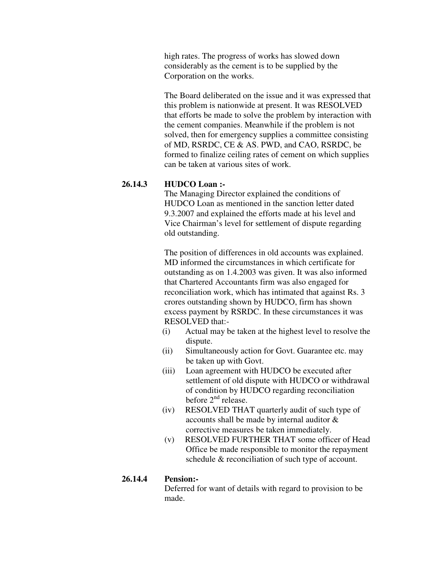high rates. The progress of works has slowed down considerably as the cement is to be supplied by the Corporation on the works.

 The Board deliberated on the issue and it was expressed that this problem is nationwide at present. It was RESOLVED that efforts be made to solve the problem by interaction with the cement companies. Meanwhile if the problem is not solved, then for emergency supplies a committee consisting of MD, RSRDC, CE & AS. PWD, and CAO, RSRDC, be formed to finalize ceiling rates of cement on which supplies can be taken at various sites of work.

### **26.14.3 HUDCO Loan :-**

The Managing Director explained the conditions of HUDCO Loan as mentioned in the sanction letter dated 9.3.2007 and explained the efforts made at his level and Vice Chairman's level for settlement of dispute regarding old outstanding.

 The position of differences in old accounts was explained. MD informed the circumstances in which certificate for outstanding as on 1.4.2003 was given. It was also informed that Chartered Accountants firm was also engaged for reconciliation work, which has intimated that against Rs. 3 crores outstanding shown by HUDCO, firm has shown excess payment by RSRDC. In these circumstances it was RESOLVED that:-

- (i) Actual may be taken at the highest level to resolve the dispute.
- (ii) Simultaneously action for Govt. Guarantee etc. may be taken up with Govt.
- (iii) Loan agreement with HUDCO be executed after settlement of old dispute with HUDCO or withdrawal of condition by HUDCO regarding reconciliation before  $2<sup>nd</sup>$  release.
- (iv) RESOLVED THAT quarterly audit of such type of accounts shall be made by internal auditor & corrective measures be taken immediately.
- (v) RESOLVED FURTHER THAT some officer of Head Office be made responsible to monitor the repayment schedule & reconciliation of such type of account.

### **26.14.4 Pension:-**

 Deferred for want of details with regard to provision to be made.